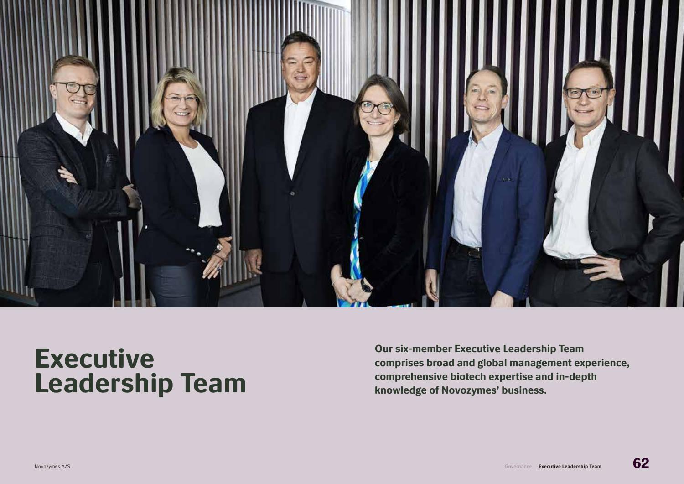

# Executive Leadership Team

Our six-member Executive Leadership Team comprises broad and global management experience, comprehensive biotech expertise and in-depth knowledge of Novozymes' business.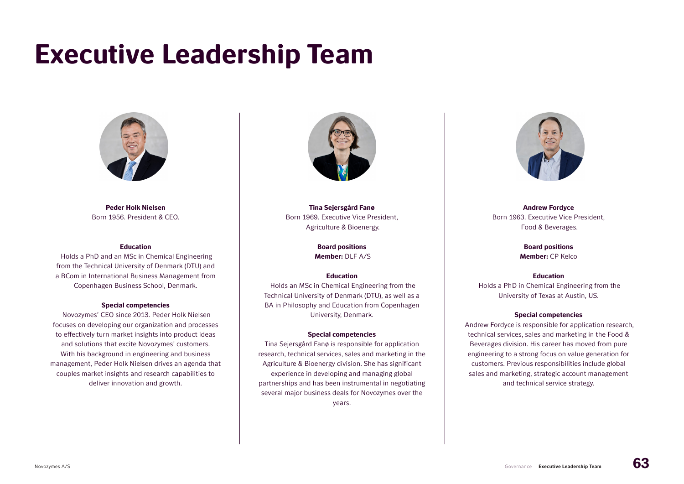# Executive Leadership Team



Peder Holk Nielsen Born 1956. President & CEO.

#### Education

 Holds a PhD and an MSc in Chemical Engineering from the Technical University of Denmark (DTU) and a BCom in International Business Management from Copenhagen Business School, Denmark.

#### Special competencies

 Novozymes' CEO since 2013. Peder Holk Nielsen focuses on developing our organization and processes to effectively turn market insights into product ideas and solutions that excite Novozymes' customers. With his background in engineering and business management, Peder Holk Nielsen drives an agenda that couples market insights and research capabilities to deliver innovation and growth.



Tina Sejersgård Fanø Born 1969. Executive Vice President, Agriculture & Bioenergy.

> Board positions Member: DLF A/S

# Education

 Holds an MSc in Chemical Engineering from the Technical University of Denmark (DTU), as well as a BA in Philosophy and Education from Copenhagen University, Denmark.

### Special competencies

Tina Sejersgård Fanø is responsible for application research, technical services, sales and marketing in the Agriculture & Bioenergy division. She has significant experience in developing and managing global partnerships and has been instrumental in negotiating several major business deals for Novozymes over the

years.



Andrew Fordyce Born 1963. Executive Vice President, Food & Beverages.

> Board positions Member: CP Kelco

# Education

 Holds a PhD in Chemical Engineering from the University of Texas at Austin, US.

#### Special competencies

 Andrew Fordyce is responsible for application research, technical services, sales and marketing in the Food & Beverages division. His career has moved from pure engineering to a strong focus on value generation for customers. Previous responsibilities include global sales and marketing, strategic account management and technical service strategy.